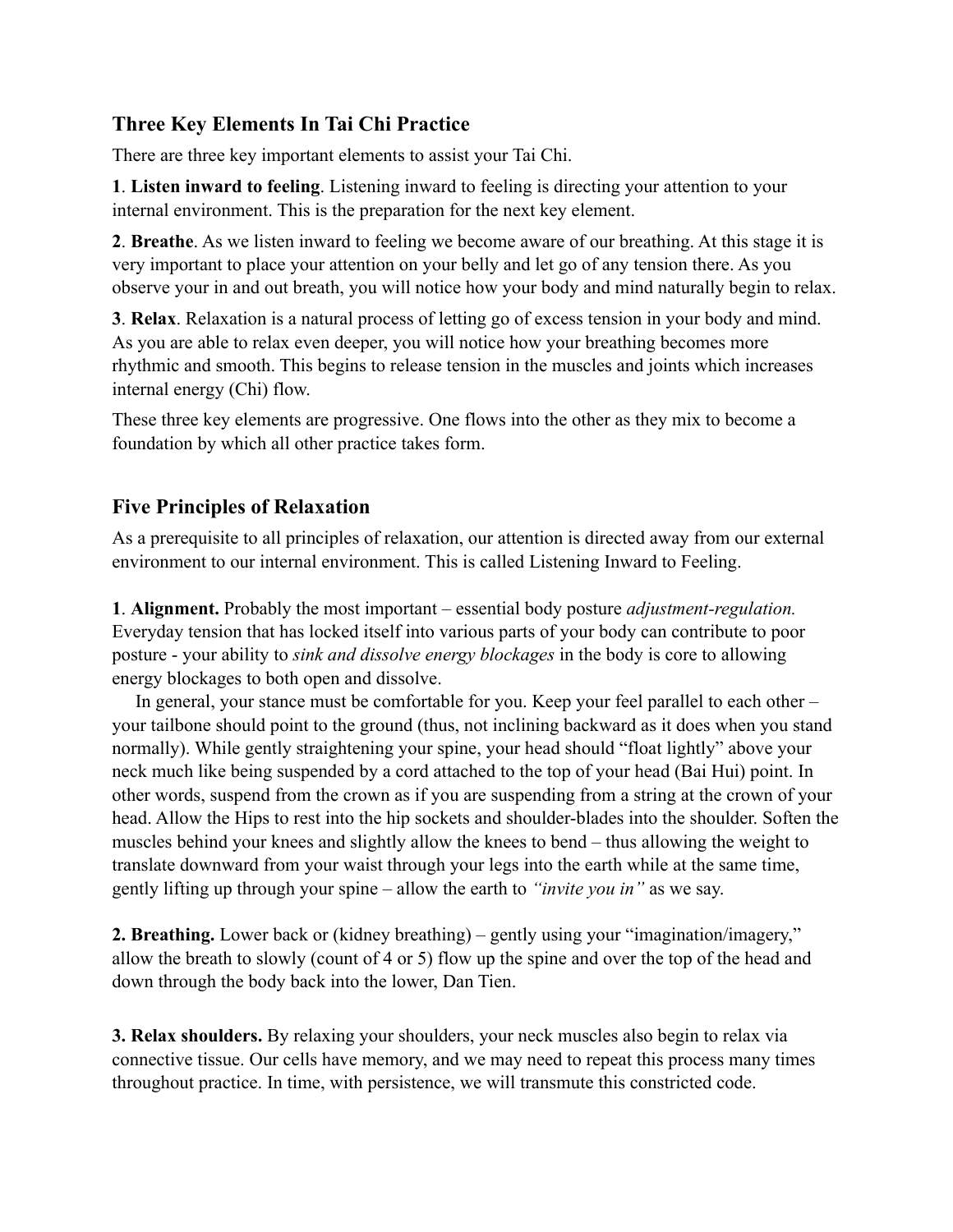## **Three Key Elements In Tai Chi Practice**

There are three key important elements to assist your Tai Chi.

**1**. **Listen inward to feeling**. Listening inward to feeling is directing your attention to your internal environment. This is the preparation for the next key element.

**2**. **Breathe**. As we listen inward to feeling we become aware of our breathing. At this stage it is very important to place your attention on your belly and let go of any tension there. As you observe your in and out breath, you will notice how your body and mind naturally begin to relax.

**3**. **Relax**. Relaxation is a natural process of letting go of excess tension in your body and mind. As you are able to relax even deeper, you will notice how your breathing becomes more rhythmic and smooth. This begins to release tension in the muscles and joints which increases internal energy (Chi) flow.

These three key elements are progressive. One flows into the other as they mix to become a foundation by which all other practice takes form.

## **Five Principles of Relaxation**

As a prerequisite to all principles of relaxation, our attention is directed away from our external environment to our internal environment. This is called Listening Inward to Feeling.

**1**. **Alignment.** Probably the most important – essential body posture *adjustment-regulation.* Everyday tension that has locked itself into various parts of your body can contribute to poor posture - your ability to *sink and dissolve energy blockages* in the body is core to allowing energy blockages to both open and dissolve.

 In general, your stance must be comfortable for you. Keep your feel parallel to each other – your tailbone should point to the ground (thus, not inclining backward as it does when you stand normally). While gently straightening your spine, your head should "float lightly" above your neck much like being suspended by a cord attached to the top of your head (Bai Hui) point. In other words, suspend from the crown as if you are suspending from a string at the crown of your head. Allow the Hips to rest into the hip sockets and shoulder-blades into the shoulder. Soften the muscles behind your knees and slightly allow the knees to bend – thus allowing the weight to translate downward from your waist through your legs into the earth while at the same time, gently lifting up through your spine – allow the earth to *"invite you in"* as we say.

**2. Breathing.** Lower back or (kidney breathing) – gently using your "imagination/imagery," allow the breath to slowly (count of 4 or 5) flow up the spine and over the top of the head and down through the body back into the lower, Dan Tien.

**3. Relax shoulders.** By relaxing your shoulders, your neck muscles also begin to relax via connective tissue. Our cells have memory, and we may need to repeat this process many times throughout practice. In time, with persistence, we will transmute this constricted code.